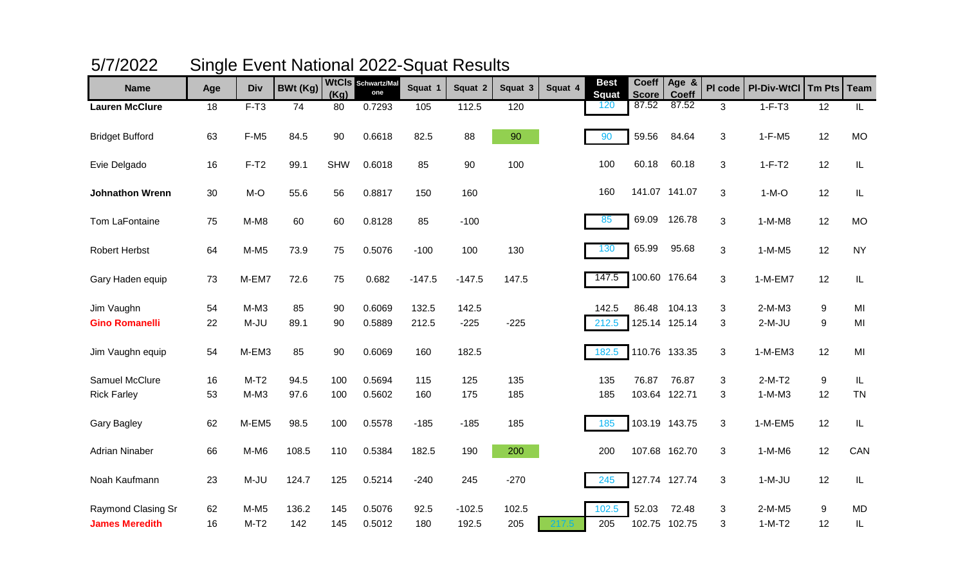|                                     | ◡        |                  |                 |            |                           |                |                 |         |         |                             |                              |                         |              |                      |               |               |
|-------------------------------------|----------|------------------|-----------------|------------|---------------------------|----------------|-----------------|---------|---------|-----------------------------|------------------------------|-------------------------|--------------|----------------------|---------------|---------------|
| <b>Name</b>                         | Age      | <b>Div</b>       | <b>BWt (Kg)</b> | (Kg)       | WtCIS Schwartz/Mal<br>one | Squat 1        | Squat 2         | Squat 3 | Squat 4 | <b>Best</b><br><b>Squat</b> | <b>Coeff</b><br><b>Score</b> | Age &<br>Coeff          | PI code      | <b>PI-Div-WtCl</b>   | <b>Tm Pts</b> | <b>Team</b>   |
| <b>Lauren McClure</b>               | 18       | $F-T3$           | 74              | 80         | 0.7293                    | 105            | 112.5           | 120     |         | 120                         | 87.52                        | 87.52                   | $\mathbf{3}$ | $1-F-T3$             | 12            | $\mathsf{IL}$ |
| <b>Bridget Bufford</b>              | 63       | $F-M5$           | 84.5            | 90         | 0.6618                    | 82.5           | 88              | 90      |         | 90                          | 59.56                        | 84.64                   | 3            | $1-F-M5$             | 12            | <b>MO</b>     |
| Evie Delgado                        | 16       | $F-T2$           | 99.1            | <b>SHW</b> | 0.6018                    | 85             | 90              | 100     |         | 100                         | 60.18                        | 60.18                   | 3            | $1-F-T2$             | 12            | IL            |
| <b>Johnathon Wrenn</b>              | 30       | $M-O$            | 55.6            | 56         | 0.8817                    | 150            | 160             |         |         | 160                         |                              | 141.07 141.07           | 3            | $1-M-O$              | 12            | $\mathsf{IL}$ |
| Tom LaFontaine                      | 75       | $M-M8$           | 60              | 60         | 0.8128                    | 85             | $-100$          |         |         | 85                          | 69.09                        | 126.78                  | 3            | $1-M-M8$             | 12            | <b>MO</b>     |
| <b>Robert Herbst</b>                | 64       | $M-M5$           | 73.9            | 75         | 0.5076                    | $-100$         | 100             | 130     |         | 130                         | 65.99                        | 95.68                   | $\mathbf{3}$ | $1-M-M5$             | 12            | <b>NY</b>     |
| Gary Haden equip                    | 73       | M-EM7            | 72.6            | 75         | 0.682                     | $-147.5$       | $-147.5$        | 147.5   |         | 147.5                       |                              | 100.60 176.64           | $\mathbf{3}$ | $1-M-EM7$            | 12            | $\sf IL$      |
| Jim Vaughn<br><b>Gino Romanelli</b> | 54<br>22 | $M-M3$<br>$M-JU$ | 85<br>89.1      | 90<br>90   | 0.6069<br>0.5889          | 132.5<br>212.5 | 142.5<br>$-225$ | $-225$  |         | 142.5<br>212.5              | 86.48                        | 104.13<br>125.14 125.14 | 3<br>3       | $2-M-M3$<br>$2-M-JU$ | 9<br>9        | MI<br>MI      |
|                                     |          |                  |                 |            |                           |                |                 |         |         |                             |                              |                         |              |                      |               |               |
| Jim Vaughn equip                    | 54       | M-EM3            | 85              | 90         | 0.6069                    | 160            | 182.5           |         |         | 182.5                       | 110.76 133.35                |                         | 3            | 1-M-EM3              | 12            | MI            |
| Samuel McClure                      | 16       | $M-T2$           | 94.5            | 100        | 0.5694                    | 115            | 125             | 135     |         | 135                         | 76.87                        | 76.87                   | 3            | $2-M-T2$             | 9             | $\sf IL$      |
| <b>Rick Farley</b>                  | 53       | $M-M3$           | 97.6            | 100        | 0.5602                    | 160            | 175             | 185     |         | 185                         | 103.64                       | 122.71                  | 3            | $1-M-M3$             | 12            | <b>TN</b>     |
| <b>Gary Bagley</b>                  | 62       | M-EM5            | 98.5            | 100        | 0.5578                    | $-185$         | $-185$          | 185     |         | 185                         |                              | 103.19 143.75           | 3            | 1-M-EM5              | 12            | $\mathsf{IL}$ |
| <b>Adrian Ninaber</b>               | 66       | $M-M6$           | 108.5           | 110        | 0.5384                    | 182.5          | 190             | 200     |         | 200                         |                              | 107.68 162.70           | 3            | $1-M-M6$             | 12            | CAN           |
| Noah Kaufmann                       | 23       | $M-JU$           | 124.7           | 125        | 0.5214                    | $-240$         | 245             | $-270$  |         | 245                         |                              | 127.74 127.74           | $\mathbf{3}$ | $1-M-JU$             | 12            | $\sf IL$      |
| Raymond Clasing Sr                  | 62       | $M-M5$           | 136.2           | 145        | 0.5076                    | 92.5           | $-102.5$        | 102.5   |         | 102.5                       | 52.03                        | 72.48                   | 3            | $2-M-M5$             | 9             | <b>MD</b>     |
| <b>James Meredith</b>               | 16       | $M-T2$           | 142             | 145        | 0.5012                    | 180            | 192.5           | 205     |         | 205                         |                              | 102.75 102.75           | 3            | $1-M-T2$             | 12            | IL            |

| 5/7/2022 |  | <b>Single Event National 2022-Squat Results</b> |  |
|----------|--|-------------------------------------------------|--|
|----------|--|-------------------------------------------------|--|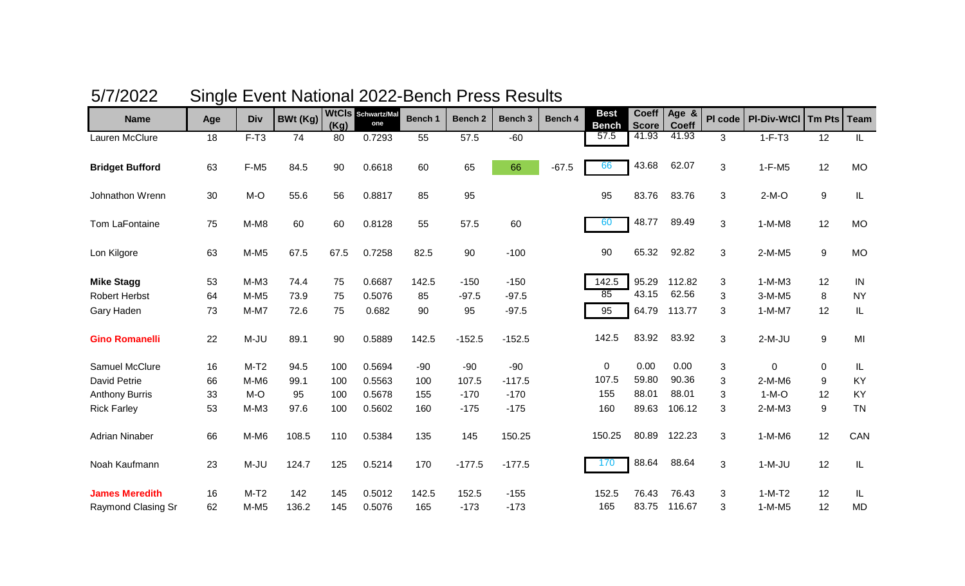|                        | : ອ |            |                 |      |                                  |         |                    |          |         |                             |                              |                       |         |                    |               |             |
|------------------------|-----|------------|-----------------|------|----------------------------------|---------|--------------------|----------|---------|-----------------------------|------------------------------|-----------------------|---------|--------------------|---------------|-------------|
| <b>Name</b>            | Age | <b>Div</b> | <b>BWt (Kg)</b> | (Kg) | <b>WtCIs</b> Schwartz/Mal<br>one | Bench 1 | Bench <sub>2</sub> | Bench 3  | Bench 4 | <b>Best</b><br><b>Bench</b> | <b>Coeff</b><br><b>Score</b> | Age &<br><b>Coeff</b> | PI code | <b>PI-Div-WtCl</b> | <b>Tm Pts</b> | <b>Team</b> |
| Lauren McClure         | 18  | $F-T3$     | 74              | 80   | 0.7293                           | 55      | 57.5               | $-60$    |         | 57.5                        | 41.93                        | 41.93                 | 3       | $1-F-T3$           | 12            | IL.         |
| <b>Bridget Bufford</b> | 63  | $F-M5$     | 84.5            | 90   | 0.6618                           | 60      | 65                 | 66       | $-67.5$ | 66                          | 43.68                        | 62.07                 | 3       | $1-F-M5$           | 12            | <b>MO</b>   |
| Johnathon Wrenn        | 30  | $M-O$      | 55.6            | 56   | 0.8817                           | 85      | 95                 |          |         | 95                          | 83.76                        | 83.76                 | 3       | $2-M-O$            | 9             | IL          |
| Tom LaFontaine         | 75  | $M-M8$     | 60              | 60   | 0.8128                           | 55      | 57.5               | 60       |         | 60                          | 48.77                        | 89.49                 | 3       | $1-M-M8$           | 12            | <b>MO</b>   |
| Lon Kilgore            | 63  | $M-M5$     | 67.5            | 67.5 | 0.7258                           | 82.5    | 90                 | $-100$   |         | 90                          | 65.32                        | 92.82                 | 3       | $2-M-M5$           | 9             | <b>MO</b>   |
| <b>Mike Stagg</b>      | 53  | $M-M3$     | 74.4            | 75   | 0.6687                           | 142.5   | $-150$             | $-150$   |         | 142.5                       | 95.29                        | 112.82                | 3       | $1-M-M3$           | 12            | IN          |
| <b>Robert Herbst</b>   | 64  | $M-M5$     | 73.9            | 75   | 0.5076                           | 85      | $-97.5$            | $-97.5$  |         | 85                          | 43.15                        | 62.56                 | 3       | 3-M-M5             | 8             | <b>NY</b>   |
| Gary Haden             | 73  | $M-M7$     | 72.6            | 75   | 0.682                            | 90      | 95                 | $-97.5$  |         | 95                          | 64.79                        | 113.77                | 3       | $1-M-M7$           | 12            | IL          |
| <b>Gino Romanelli</b>  | 22  | M-JU       | 89.1            | 90   | 0.5889                           | 142.5   | $-152.5$           | $-152.5$ |         | 142.5                       | 83.92                        | 83.92                 | 3       | $2-M-JU$           | 9             | MI          |
| Samuel McClure         | 16  | $M-T2$     | 94.5            | 100  | 0.5694                           | $-90$   | $-90$              | $-90$    |         | $\mathbf 0$                 | 0.00                         | 0.00                  | 3       | $\mathbf 0$        | $\mathbf 0$   | IL          |
| David Petrie           | 66  | M-M6       | 99.1            | 100  | 0.5563                           | 100     | 107.5              | $-117.5$ |         | 107.5                       | 59.80                        | 90.36                 | 3       | $2-M-M6$           | 9             | KY          |
| <b>Anthony Burris</b>  | 33  | $M-O$      | 95              | 100  | 0.5678                           | 155     | $-170$             | $-170$   |         | 155                         | 88.01                        | 88.01                 | 3       | $1-M-O$            | 12            | KY          |
| <b>Rick Farley</b>     | 53  | $M-M3$     | 97.6            | 100  | 0.5602                           | 160     | $-175$             | $-175$   |         | 160                         | 89.63                        | 106.12                | 3       | $2-M-M3$           | 9             | <b>TN</b>   |
| <b>Adrian Ninaber</b>  | 66  | $M-M6$     | 108.5           | 110  | 0.5384                           | 135     | 145                | 150.25   |         | 150.25                      | 80.89                        | 122.23                | 3       | $1-M-M6$           | 12            | CAN         |
| Noah Kaufmann          | 23  | $M-JU$     | 124.7           | 125  | 0.5214                           | 170     | $-177.5$           | $-177.5$ |         | 170                         | 88.64                        | 88.64                 | 3       | $1-M-JU$           | 12            | IL          |
| <b>James Meredith</b>  | 16  | $M-T2$     | 142             | 145  | 0.5012                           | 142.5   | 152.5              | $-155$   |         | 152.5                       | 76.43                        | 76.43                 | 3       | $1-M-T2$           | 12            | IL.         |
| Raymond Clasing Sr     | 62  | $M-M5$     | 136.2           | 145  | 0.5076                           | 165     | $-173$             | $-173$   |         | 165                         | 83.75                        | 116.67                | 3       | $1-M-M5$           | 12            | <b>MD</b>   |

## 5/7/2022 Single Event National 2022-Bench Press Results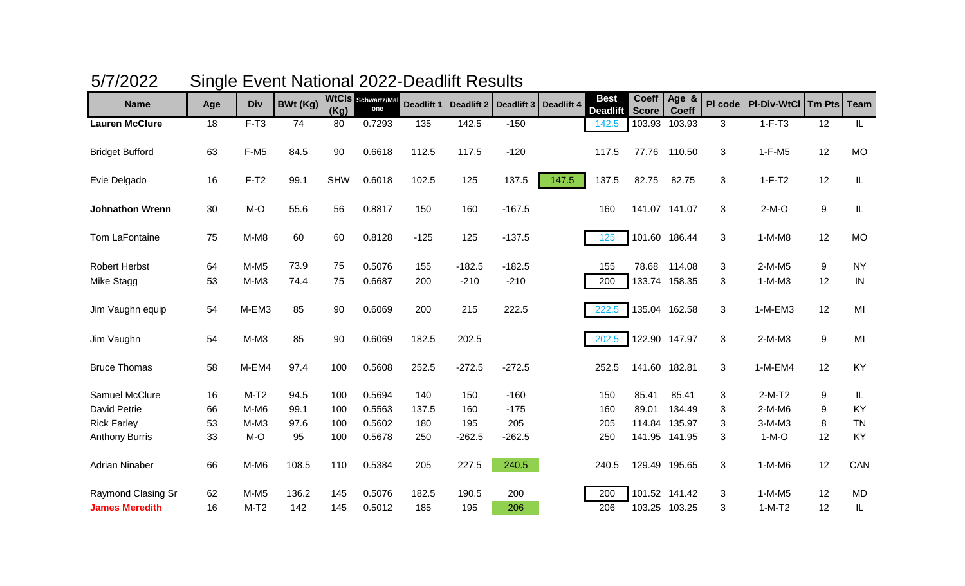| <b>Name</b>            | Age | <b>Div</b> | BWt (Kg) | (Kg)       | WtCIS Schwartz/Mal<br>one | <b>Deadlift 1</b> | <b>Deadlift 2</b> |          | Deadlift 3   Deadlift 4 | <b>Best</b><br><b>Deadlift</b> | <b>Coeff</b><br>Score | Age &<br><b>Coeff</b> | PI code | <b>PI-Div-WtCl</b> | Tm Pts | <b>Team</b>                       |
|------------------------|-----|------------|----------|------------|---------------------------|-------------------|-------------------|----------|-------------------------|--------------------------------|-----------------------|-----------------------|---------|--------------------|--------|-----------------------------------|
| <b>Lauren McClure</b>  | 18  | $F-T3$     | 74       | 80         | 0.7293                    | 135               | 142.5             | $-150$   |                         | 142.5                          | 103.93                | 103.93                | 3       | $1-F-T3$           | 12     | IL                                |
| <b>Bridget Bufford</b> | 63  | $F-M5$     | 84.5     | 90         | 0.6618                    | 112.5             | 117.5             | $-120$   |                         | 117.5                          | 77.76                 | 110.50                | 3       | $1-F-M5$           | 12     | <b>MO</b>                         |
| Evie Delgado           | 16  | $F-T2$     | 99.1     | <b>SHW</b> | 0.6018                    | 102.5             | 125               | 137.5    | 147.5                   | 137.5                          | 82.75                 | 82.75                 | 3       | $1-F-T2$           | 12     | IL                                |
| <b>Johnathon Wrenn</b> | 30  | M-O        | 55.6     | 56         | 0.8817                    | 150               | 160               | $-167.5$ |                         | 160                            |                       | 141.07 141.07         | 3       | $2-M-O$            | 9      | $\ensuremath{\mathsf{IL}}\xspace$ |
| Tom LaFontaine         | 75  | $M-M8$     | 60       | 60         | 0.8128                    | $-125$            | 125               | $-137.5$ |                         | 125                            |                       | 101.60 186.44         | 3       | $1-M-M8$           | 12     | <b>MO</b>                         |
| <b>Robert Herbst</b>   | 64  | $M-M5$     | 73.9     | 75         | 0.5076                    | 155               | $-182.5$          | $-182.5$ |                         | 155                            | 78.68                 | 114.08                | 3       | 2-M-M5             | 9      | <b>NY</b>                         |
| Mike Stagg             | 53  | $M-M3$     | 74.4     | 75         | 0.6687                    | 200               | $-210$            | $-210$   |                         | 200                            |                       | 133.74 158.35         | 3       | $1-M-M3$           | 12     | IN                                |
| Jim Vaughn equip       | 54  | M-EM3      | 85       | 90         | 0.6069                    | 200               | 215               | 222.5    |                         | 222.5                          |                       | 135.04 162.58         | 3       | 1-M-EM3            | 12     | MI                                |
| Jim Vaughn             | 54  | $M-M3$     | 85       | 90         | 0.6069                    | 182.5             | 202.5             |          |                         | 202.5                          |                       | 122.90 147.97         | 3       | 2-M-M3             | 9      | MI                                |
| <b>Bruce Thomas</b>    | 58  | M-EM4      | 97.4     | 100        | 0.5608                    | 252.5             | $-272.5$          | $-272.5$ |                         | 252.5                          | 141.60 182.81         |                       | 3       | 1-M-EM4            | 12     | KY                                |
| Samuel McClure         | 16  | $M-T2$     | 94.5     | 100        | 0.5694                    | 140               | 150               | $-160$   |                         | 150                            | 85.41                 | 85.41                 | 3       | $2-M-T2$           | 9      | IL                                |
| David Petrie           | 66  | M-M6       | 99.1     | 100        | 0.5563                    | 137.5             | 160               | $-175$   |                         | 160                            | 89.01                 | 134.49                | 3       | $2-M-M6$           | 9      | KY                                |
| <b>Rick Farley</b>     | 53  | $M-M3$     | 97.6     | 100        | 0.5602                    | 180               | 195               | 205      |                         | 205                            | 114.84                | 135.97                | 3       | 3-M-M3             | 8      | <b>TN</b>                         |
| <b>Anthony Burris</b>  | 33  | M-O        | 95       | 100        | 0.5678                    | 250               | $-262.5$          | $-262.5$ |                         | 250                            |                       | 141.95 141.95         | 3       | $1-M-O$            | 12     | KY                                |
| <b>Adrian Ninaber</b>  | 66  | $M-M6$     | 108.5    | 110        | 0.5384                    | 205               | 227.5             | 240.5    |                         | 240.5                          |                       | 129.49 195.65         | 3       | $1-M-M6$           | 12     | CAN                               |
| Raymond Clasing Sr     | 62  | $M-M5$     | 136.2    | 145        | 0.5076                    | 182.5             | 190.5             | 200      |                         | 200                            |                       | 101.52 141.42         | 3       | $1-M-M5$           | 12     | <b>MD</b>                         |
| <b>James Meredith</b>  | 16  | $M-T2$     | 142      | 145        | 0.5012                    | 185               | 195               | 206      |                         | 206                            |                       | 103.25 103.25         | 3       | $1-M-T2$           | 12     | IL                                |

## 5/7/2022 Single Event National 2022-Deadlift Results